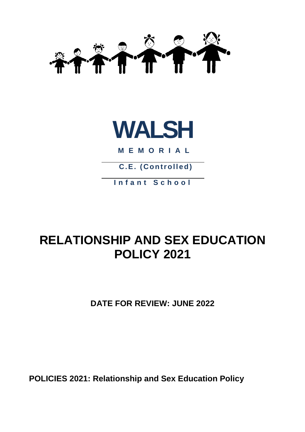

# **WALSH**

**M E M O R I A L**

**C.E. (Controlled)** 

**I n f a n t S c h o o l**

## **RELATIONSHIP AND SEX EDUCATION POLICY 2021**

**DATE FOR REVIEW: JUNE 2022**

**POLICIES 2021: Relationship and Sex Education Policy**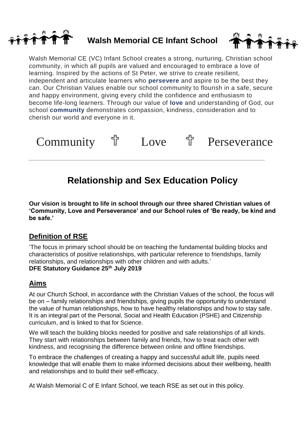



Walsh Memorial CE (VC) Infant School creates a strong, nurturing, Christian school community, in which all pupils are valued and encouraged to embrace a love of learning. Inspired by the actions of St Peter, we strive to create resilient, independent and articulate learners who **persevere** and aspire to be the best they can. Our Christian Values enable our school community to flourish in a safe, secure and happy environment, giving every child the confidence and enthusiasm to become life-long learners. Through our value of **love** and understanding of God, our school **community** demonstrates compassion, kindness, consideration and to cherish our world and everyone in it.



### **Relationship and Sex Education Policy**

*\_\_\_\_\_\_\_\_\_\_\_\_\_\_\_\_\_\_\_\_\_\_\_\_\_\_\_\_\_\_\_\_\_\_\_\_\_\_\_\_\_\_\_\_\_\_\_\_\_\_\_\_\_\_\_\_\_\_\_\_\_\_\_\_\_\_\_\_\_\_\_\_\_\_\_\_\_\_\_\_\_\_\_\_\_\_\_\_\_\_\_\_*

**Our vision is brought to life in school through our three shared Christian values of 'Community, Love and Perseverance' and our School rules of 'Be ready, be kind and be safe.'**

#### **Definition of RSE**

'The focus in primary school should be on teaching the fundamental building blocks and characteristics of positive relationships, with particular reference to friendships, family relationships, and relationships with other children and with adults.' **DFE Statutory Guidance 25th July 2019**

#### **Aims**

At our Church School, in accordance with the Christian Values of the school, the focus will be on – family relationships and friendships, giving pupils the opportunity to understand the value of human relationships, how to have healthy relationships and how to stay safe. It is an integral part of the Personal, Social and Health Education (PSHE) and Citizenship curriculum, and is linked to that for Science.

We will teach the building blocks needed for positive and safe relationships of all kinds. They start with relationships between family and friends, how to treat each other with kindness, and recognising the difference between online and offline friendships.

To embrace the challenges of creating a happy and successful adult life, pupils need knowledge that will enable them to make informed decisions about their wellbeing, health and relationships and to build their self-efficacy.

At Walsh Memorial C of E Infant School, we teach RSE as set out in this policy.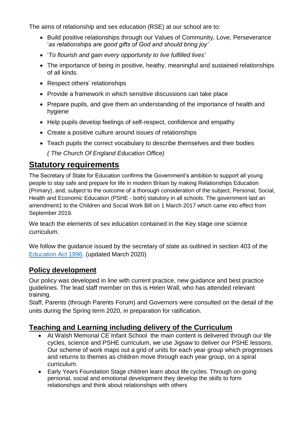The aims of relationship and sex education (RSE) at our school are to:

- Build positive relationships through our Values of Community, Love, Perseverance '*as relationships are good gifts of God and should bring joy'*
- '*To flourish and gain every opportunity to live fulfilled lives'*
- The importance of being in positive, heathy, meaningful and sustained relationships of all kinds.
- Respect others' relationships
- Provide a framework in which sensitive discussions can take place
- Prepare pupils, and give them an understanding of the importance of health and hygiene
- Help pupils develop feelings of self-respect, confidence and empathy
- Create a positive culture around issues of relationships
- Teach pupils the correct vocabulary to describe themselves and their bodies

*( The Church Of England Education Office)*

#### **Statutory requirements**

The Secretary of State for Education confirms the Government's ambition to support all young people to stay safe and prepare for life in modern Britain by making Relationships Education (Primary), and, subject to the outcome of a thorough consideration of the subject, Personal, Social, Health and Economic Education (PSHE - both) statutory in all schools. The government laid an amendment1 to the Children and Social Work Bill on 1 March 2017 which came into effect from September 2019.

We teach the elements of sex education contained in the Key stage one science curriculum.

We follow the guidance issued by the secretary of state as outlined in section 403 of the [Education Act 1996.](http://www.legislation.gov.uk/ukpga/1996/56/contents) (updated March 2020)

#### **Policy development**

Our policy was developed in line with current practice, new guidance and best practice guidelines. The lead staff member on this is Helen Wall, who has attended relevant training.

Staff, Parents (through Parents Forum) and Governors were consulted on the detail of the units during the Spring term 2020, in preparation for ratification.

#### **Teaching and Learning including delivery of the Curriculum**

- At Walsh Memorial CE Infant School the main content is delivered through our life cycles, science and PSHE curriculum, we use Jigsaw to deliver our PSHE lessons. Our scheme of work maps out a grid of units for each year group which progresses and returns to themes as children move through each year group, on a spiral curriculum.
- Early Years Foundation Stage children learn about life cycles. Through on-going personal, social and emotional development they develop the skills to form relationships and think about relationships with others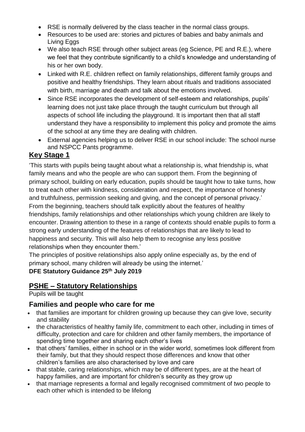- RSE is normally delivered by the class teacher in the normal class groups.
- Resources to be used are: stories and pictures of babies and baby animals and Living Eggs
- We also teach RSE through other subject areas (eg Science, PE and R.E.), where we feel that they contribute significantly to a child's knowledge and understanding of his or her own body.
- Linked with R.E. children reflect on family relationships, different family groups and positive and healthy friendships. They learn about rituals and traditions associated with birth, marriage and death and talk about the emotions involved.
- Since RSE incorporates the development of self-esteem and relationships, pupils' learning does not just take place through the taught curriculum but through all aspects of school life including the playground. It is important then that all staff understand they have a responsibility to implement this policy and promote the aims of the school at any time they are dealing with children.
- External agencies helping us to deliver RSE in our school include: The school nurse and NSPCC Pants programme.

#### **Key Stage 1**

'This starts with pupils being taught about what a relationship is, what friendship is, what family means and who the people are who can support them. From the beginning of primary school, building on early education, pupils should be taught how to take turns, how to treat each other with kindness, consideration and respect, the importance of honesty and truthfulness, permission seeking and giving, and the concept of personal privacy.' From the beginning, teachers should talk explicitly about the features of healthy friendships, family relationships and other relationships which young children are likely to encounter. Drawing attention to these in a range of contexts should enable pupils to form a strong early understanding of the features of relationships that are likely to lead to happiness and security. This will also help them to recognise any less positive relationships when they encounter them.'

The principles of positive relationships also apply online especially as, by the end of primary school, many children will already be using the internet.'

#### **DFE Statutory Guidance 25th July 2019**

#### **PSHE – Statutory Relationships**

Pupils will be taught

#### **Families and people who care for me**

- that families are important for children growing up because they can give love, security and stability
- the characteristics of healthy family life, commitment to each other, including in times of difficulty, protection and care for children and other family members, the importance of spending time together and sharing each other's lives
- that others' families, either in school or in the wider world, sometimes look different from their family, but that they should respect those differences and know that other children's families are also characterised by love and care
- that stable, caring relationships, which may be of different types, are at the heart of happy families, and are important for children's security as they grow up
- that marriage represents a formal and legally recognised commitment of two people to each other which is intended to be lifelong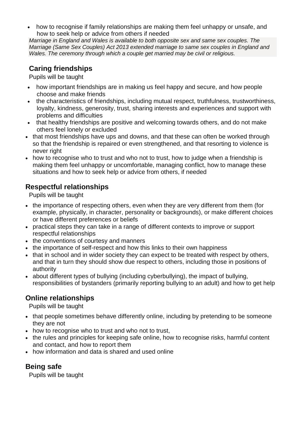how to recognise if family relationships are making them feel unhappy or unsafe, and how to seek help or advice from others if needed

*Marriage in England and Wales is available to both opposite sex and same sex couples. The Marriage (Same Sex Couples) Act 2013 extended marriage to same sex couples in England and Wales. The ceremony through which a couple get married may be civil or religious.*

#### **Caring friendships**

Pupils will be taught

- how important friendships are in making us feel happy and secure, and how people choose and make friends
- the characteristics of friendships, including mutual respect, truthfulness, trustworthiness, loyalty, kindness, generosity, trust, sharing interests and experiences and support with problems and difficulties
- that healthy friendships are positive and welcoming towards others, and do not make others feel lonely or excluded
- that most friendships have ups and downs, and that these can often be worked through so that the friendship is repaired or even strengthened, and that resorting to violence is never right
- how to recognise who to trust and who not to trust, how to judge when a friendship is making them feel unhappy or uncomfortable, managing conflict, how to manage these situations and how to seek help or advice from others, if needed

#### **Respectful relationships**

Pupils will be taught

- the importance of respecting others, even when they are very different from them (for example, physically, in character, personality or backgrounds), or make different choices or have different preferences or beliefs
- practical steps they can take in a range of different contexts to improve or support respectful relationships
- the conventions of courtesy and manners
- the importance of self-respect and how this links to their own happiness
- that in school and in wider society they can expect to be treated with respect by others, and that in turn they should show due respect to others, including those in positions of authority
- about different types of bullying (including cyberbullying), the impact of bullying, responsibilities of bystanders (primarily reporting bullying to an adult) and how to get help

#### **Online relationships**

Pupils will be taught

- that people sometimes behave differently online, including by pretending to be someone they are not
- how to recognise who to trust and who not to trust,
- the rules and principles for keeping safe online, how to recognise risks, harmful content and contact, and how to report them
- how information and data is shared and used online

#### **Being safe**

Pupils will be taught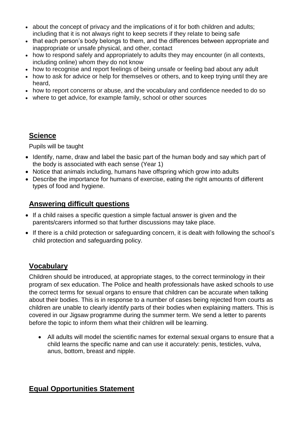- about the concept of privacy and the implications of it for both children and adults; including that it is not always right to keep secrets if they relate to being safe
- that each person's body belongs to them, and the differences between appropriate and inappropriate or unsafe physical, and other, contact
- how to respond safely and appropriately to adults they may encounter (in all contexts, including online) whom they do not know
- how to recognise and report feelings of being unsafe or feeling bad about any adult
- how to ask for advice or help for themselves or others, and to keep trying until they are heard,
- how to report concerns or abuse, and the vocabulary and confidence needed to do so
- where to get advice, for example family, school or other sources

#### **Science**

Pupils will be taught

- Identify, name, draw and label the basic part of the human body and say which part of the body is associated with each sense (Year 1)
- Notice that animals including, humans have offspring which grow into adults
- Describe the importance for humans of exercise, eating the right amounts of different types of food and hygiene.

#### **Answering difficult questions**

- If a child raises a specific question a simple factual answer is given and the parents/carers informed so that further discussions may take place.
- If there is a child protection or safeguarding concern, it is dealt with following the school's child protection and safeguarding policy.

#### **Vocabulary**

Children should be introduced, at appropriate stages, to the correct terminology in their program of sex education. The Police and health professionals have asked schools to use the correct terms for sexual organs to ensure that children can be accurate when talking about their bodies. This is in response to a number of cases being rejected from courts as children are unable to clearly identify parts of their bodies when explaining matters. This is covered in our Jigsaw programme during the summer term. We send a letter to parents before the topic to inform them what their children will be learning.

 All adults will model the scientific names for external sexual organs to ensure that a child learns the specific name and can use it accurately: penis, testicles, vulva, anus, bottom, breast and nipple.

#### **Equal Opportunities Statement**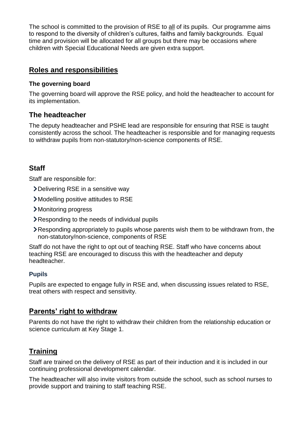The school is committed to the provision of RSE to all of its pupils. Our programme aims to respond to the diversity of children's cultures, faiths and family backgrounds. Equal time and provision will be allocated for all groups but there may be occasions where children with Special Educational Needs are given extra support.

#### **Roles and responsibilities**

#### **The governing board**

The governing board will approve the RSE policy, and hold the headteacher to account for its implementation.

#### **The headteacher**

The deputy headteacher and PSHE lead are responsible for ensuring that RSE is taught consistently across the school. The headteacher is responsible and for managing requests to withdraw pupils from non-statutory/non-science components of RSE.

#### **Staff**

Staff are responsible for:

- Delivering RSE in a sensitive way
- Modelling positive attitudes to RSE
- Monitoring progress
- Responding to the needs of individual pupils
- Responding appropriately to pupils whose parents wish them to be withdrawn from, the non-statutory/non-science, components of RSE

Staff do not have the right to opt out of teaching RSE. Staff who have concerns about teaching RSE are encouraged to discuss this with the headteacher and deputy headteacher.

#### **Pupils**

Pupils are expected to engage fully in RSE and, when discussing issues related to RSE, treat others with respect and sensitivity.

#### **Parents' right to withdraw**

Parents do not have the right to withdraw their children from the relationship education or science curriculum at Key Stage 1.

#### **Training**

Staff are trained on the delivery of RSE as part of their induction and it is included in our continuing professional development calendar.

The headteacher will also invite visitors from outside the school, such as school nurses to provide support and training to staff teaching RSE.